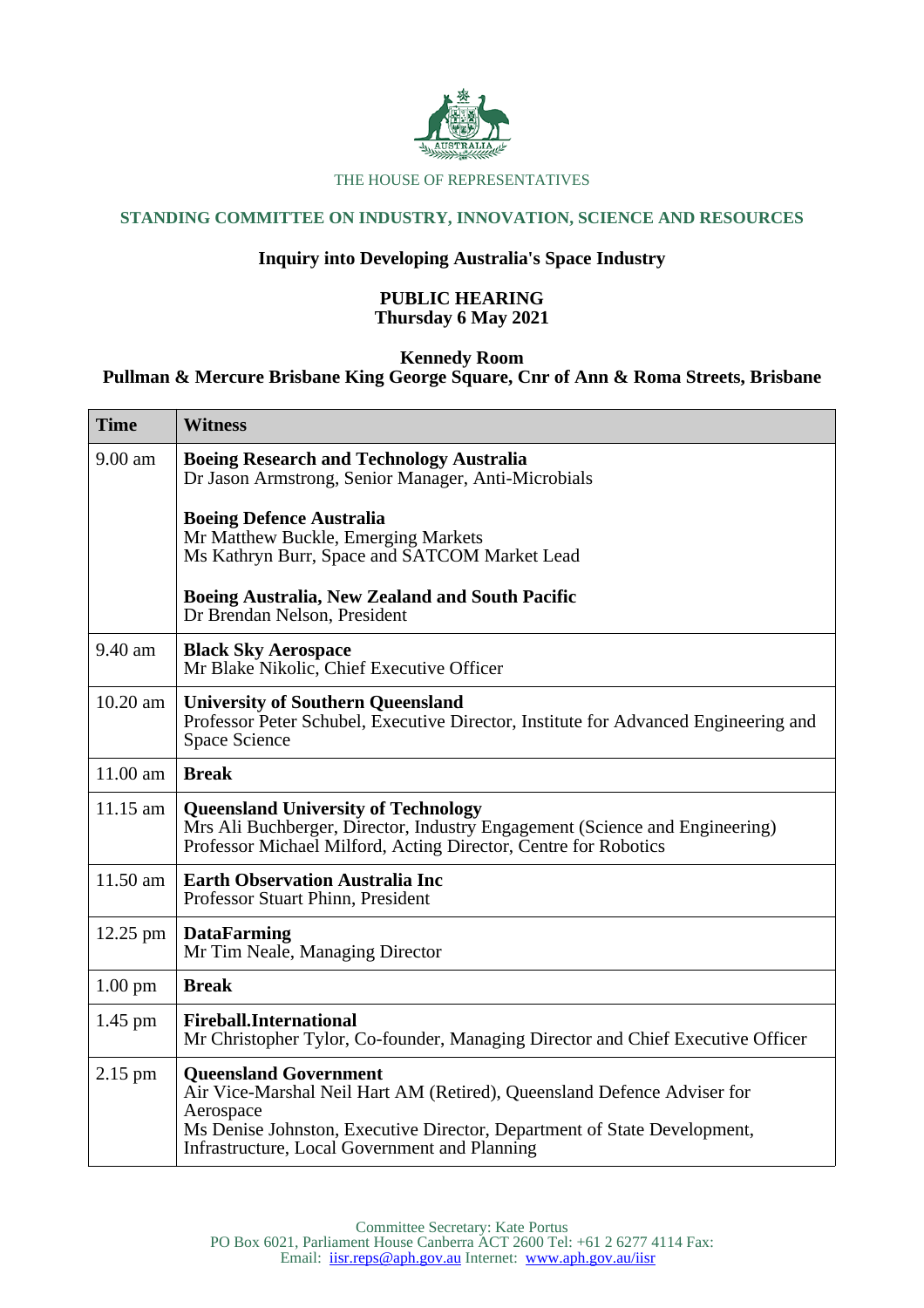

#### THE HOUSE OF REPRESENTATIVES

# **STANDING COMMITTEE ON INDUSTRY, INNOVATION, SCIENCE AND RESOURCES**

# **Inquiry into Developing Australia's Space Industry**

## **PUBLIC HEARING Thursday 6 May 2021**

# **Kennedy Room**

## **Pullman & Mercure Brisbane King George Square, Cnr of Ann & Roma Streets, Brisbane**

| <b>Time</b>       | <b>Witness</b>                                                                                                                                                                                                                                    |
|-------------------|---------------------------------------------------------------------------------------------------------------------------------------------------------------------------------------------------------------------------------------------------|
| $9.00 \text{ am}$ | <b>Boeing Research and Technology Australia</b><br>Dr Jason Armstrong, Senior Manager, Anti-Microbials                                                                                                                                            |
|                   | <b>Boeing Defence Australia</b><br>Mr Matthew Buckle, Emerging Markets<br>Ms Kathryn Burr, Space and SATCOM Market Lead                                                                                                                           |
|                   | <b>Boeing Australia, New Zealand and South Pacific</b><br>Dr Brendan Nelson, President                                                                                                                                                            |
| 9.40 am           | <b>Black Sky Aerospace</b><br>Mr Blake Nikolic, Chief Executive Officer                                                                                                                                                                           |
| 10.20 am          | <b>University of Southern Queensland</b><br>Professor Peter Schubel, Executive Director, Institute for Advanced Engineering and<br><b>Space Science</b>                                                                                           |
| $11.00$ am        | <b>Break</b>                                                                                                                                                                                                                                      |
| $11.15$ am        | <b>Queensland University of Technology</b><br>Mrs Ali Buchberger, Director, Industry Engagement (Science and Engineering)<br>Professor Michael Milford, Acting Director, Centre for Robotics                                                      |
| 11.50 am          | <b>Earth Observation Australia Inc</b><br>Professor Stuart Phinn, President                                                                                                                                                                       |
| $12.25$ pm        | <b>DataFarming</b><br>Mr Tim Neale, Managing Director                                                                                                                                                                                             |
| $1.00 \text{ pm}$ | <b>Break</b>                                                                                                                                                                                                                                      |
| $1.45$ pm         | <b>Fireball.International</b><br>Mr Christopher Tylor, Co-founder, Managing Director and Chief Executive Officer                                                                                                                                  |
| $2.15$ pm         | <b>Queensland Government</b><br>Air Vice-Marshal Neil Hart AM (Retired), Queensland Defence Adviser for<br>Aerospace<br>Ms Denise Johnston, Executive Director, Department of State Development,<br>Infrastructure, Local Government and Planning |